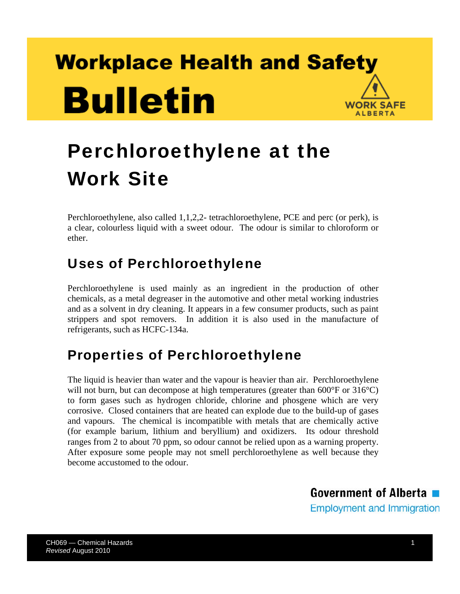# **Workplace Health and Safety Bulletin WORK SAFE ALBERTA**

# Perchloroethylene at the Work Site

Perchloroethylene, also called 1,1,2,2- tetrachloroethylene, PCE and perc (or perk), is a clear, colourless liquid with a sweet odour. The odour is similar to chloroform or ether.

# Uses of Perchloroethylene

Perchloroethylene is used mainly as an ingredient in the production of other chemicals, as a metal degreaser in the automotive and other metal working industries and as a solvent in dry cleaning. It appears in a few consumer products, such as paint strippers and spot removers. In addition it is also used in the manufacture of refrigerants, such as HCFC-134a.

# Properties of Perchloroethylene

The liquid is heavier than water and the vapour is heavier than air. Perchloroethylene will not burn, but can decompose at high temperatures (greater than  $600^{\circ}$ F or  $316^{\circ}$ C) to form gases such as hydrogen chloride, chlorine and phosgene which are very corrosive. Closed containers that are heated can explode due to the build-up of gases and vapours. The chemical is incompatible with metals that are chemically active (for example barium, lithium and beryllium) and oxidizers. Its odour threshold ranges from 2 to about 70 ppm, so odour cannot be relied upon as a warning property. After exposure some people may not smell perchloroethylene as well because they become accustomed to the odour.

> Government of Alberta **Employment and Immigration**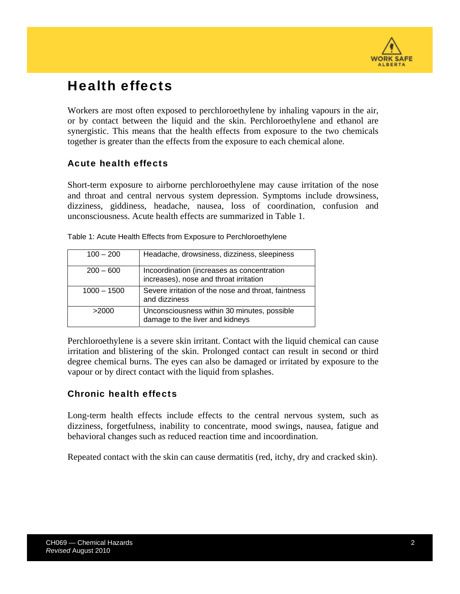

# Health effects

Workers are most often exposed to perchloroethylene by inhaling vapours in the air, or by contact between the liquid and the skin. Perchloroethylene and ethanol are synergistic. This means that the health effects from exposure to the two chemicals together is greater than the effects from the exposure to each chemical alone.

### Acute health effects

Short-term exposure to airborne perchloroethylene may cause irritation of the nose and throat and central nervous system depression. Symptoms include drowsiness, dizziness, giddiness, headache, nausea, loss of coordination, confusion and unconsciousness. Acute health effects are summarized in Table 1.

| $100 - 200$   | Headache, drowsiness, dizziness, sleepiness                                          |
|---------------|--------------------------------------------------------------------------------------|
| $200 - 600$   | Incoordination (increases as concentration<br>increases), nose and throat irritation |
| $1000 - 1500$ | Severe irritation of the nose and throat, faintness<br>and dizziness                 |
| >2000         | Unconsciousness within 30 minutes, possible<br>damage to the liver and kidneys       |

|  |  | Table 1: Acute Health Effects from Exposure to Perchloroethylene |  |
|--|--|------------------------------------------------------------------|--|
|  |  |                                                                  |  |
|  |  |                                                                  |  |

Perchloroethylene is a severe skin irritant. Contact with the liquid chemical can cause irritation and blistering of the skin. Prolonged contact can result in second or third degree chemical burns. The eyes can also be damaged or irritated by exposure to the vapour or by direct contact with the liquid from splashes.

### Chronic health effects

Long-term health effects include effects to the central nervous system, such as dizziness, forgetfulness, inability to concentrate, mood swings, nausea, fatigue and behavioral changes such as reduced reaction time and incoordination.

Repeated contact with the skin can cause dermatitis (red, itchy, dry and cracked skin).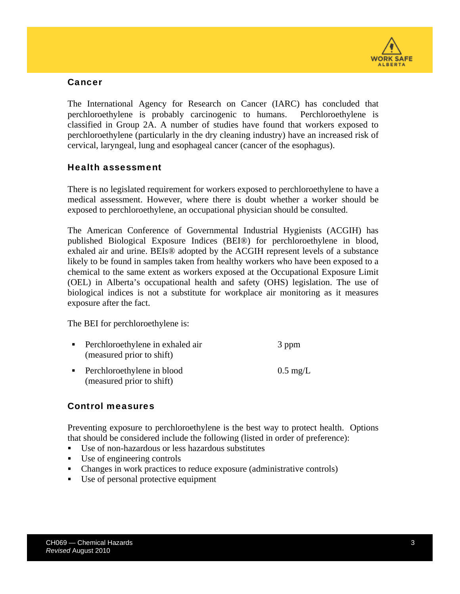

#### Cancer

The International Agency for Research on Cancer (IARC) has concluded that perchloroethylene is probably carcinogenic to humans. Perchloroethylene is classified in Group 2A. A number of studies have found that workers exposed to perchloroethylene (particularly in the dry cleaning industry) have an increased risk of cervical, laryngeal, lung and esophageal cancer (cancer of the esophagus).

#### Health assessment

There is no legislated requirement for workers exposed to perchloroethylene to have a medical assessment. However, where there is doubt whether a worker should be exposed to perchloroethylene, an occupational physician should be consulted.

The American Conference of Governmental Industrial Hygienists (ACGIH) has published Biological Exposure Indices (BEI®) for perchloroethylene in blood, exhaled air and urine. BEIs® adopted by the ACGIH represent levels of a substance likely to be found in samples taken from healthy workers who have been exposed to a chemical to the same extent as workers exposed at the Occupational Exposure Limit (OEL) in Alberta's occupational health and safety (OHS) legislation. The use of biological indices is not a substitute for workplace air monitoring as it measures exposure after the fact.

The BEI for perchloroethylene is:

(measured prior to shift)

| • Perchloroethylene in exhaled air<br>(measured prior to shift) | 3 ppm              |
|-----------------------------------------------------------------|--------------------|
| • Perchloroethylene in blood                                    | $0.5 \text{ mg/L}$ |

#### Control measures

Preventing exposure to perchloroethylene is the best way to protect health. Options that should be considered include the following (listed in order of preference):

- Use of non-hazardous or less hazardous substitutes
- Use of engineering controls
- Changes in work practices to reduce exposure (administrative controls)
- Use of personal protective equipment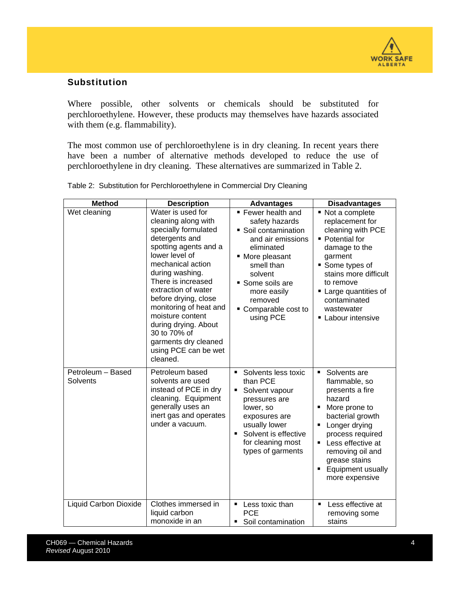

### Substitution

Where possible, other solvents or chemicals should be substituted for perchloroethylene. However, these products may themselves have hazards associated with them (e.g. flammability).

The most common use of perchloroethylene is in dry cleaning. In recent years there have been a number of alternative methods developed to reduce the use of perchloroethylene in dry cleaning. These alternatives are summarized in Table 2.

| <b>Method</b>                 | <b>Description</b>                                                                                                                                                                                                                                                                                                                                                                           | <b>Advantages</b>                                                                                                                                                                                                        | <b>Disadvantages</b>                                                                                                                                                                                                                                    |
|-------------------------------|----------------------------------------------------------------------------------------------------------------------------------------------------------------------------------------------------------------------------------------------------------------------------------------------------------------------------------------------------------------------------------------------|--------------------------------------------------------------------------------------------------------------------------------------------------------------------------------------------------------------------------|---------------------------------------------------------------------------------------------------------------------------------------------------------------------------------------------------------------------------------------------------------|
| Wet cleaning                  | Water is used for<br>cleaning along with<br>specially formulated<br>detergents and<br>spotting agents and a<br>lower level of<br>mechanical action<br>during washing.<br>There is increased<br>extraction of water<br>before drying, close<br>monitoring of heat and<br>moisture content<br>during drying. About<br>30 to 70% of<br>garments dry cleaned<br>using PCE can be wet<br>cleaned. | Fewer health and<br>safety hazards<br>Soil contamination<br>and air emissions<br>eliminated<br>• More pleasant<br>smell than<br>solvent<br>Some soils are<br>more easily<br>removed<br>• Comparable cost to<br>using PCE | ■ Not a complete<br>replacement for<br>cleaning with PCE<br>• Potential for<br>damage to the<br>garment<br>■ Some types of<br>stains more difficult<br>to remove<br>■ Large quantities of<br>contaminated<br>wastewater<br><b>E</b> Labour intensive    |
| Petroleum - Based<br>Solvents | Petroleum based<br>solvents are used<br>instead of PCE in dry<br>cleaning. Equipment<br>generally uses an<br>inert gas and operates<br>under a vacuum.                                                                                                                                                                                                                                       | Solvents less toxic<br>$\blacksquare$<br>than PCE<br>Solvent vapour<br>pressures are<br>lower, so<br>exposures are<br>usually lower<br>Solvent is effective<br>for cleaning most<br>types of garments                    | Solvents are<br>$\blacksquare$<br>flammable, so<br>presents a fire<br>hazard<br>More prone to<br>bacterial growth<br>Longer drying<br>process required<br>Less effective at<br>removing oil and<br>grease stains<br>Equipment usually<br>more expensive |
| Liquid Carbon Dioxide         | Clothes immersed in<br>liquid carbon<br>monoxide in an                                                                                                                                                                                                                                                                                                                                       | Less toxic than<br>٠<br><b>PCE</b><br>Soil contamination                                                                                                                                                                 | Less effective at<br>п<br>removing some<br>stains                                                                                                                                                                                                       |
|                               |                                                                                                                                                                                                                                                                                                                                                                                              |                                                                                                                                                                                                                          |                                                                                                                                                                                                                                                         |

Table 2: Substitution for Perchloroethylene in Commercial Dry Cleaning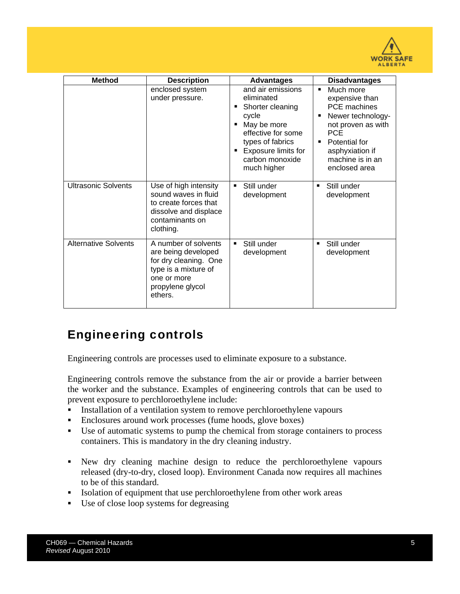

| <b>Method</b>               | <b>Description</b>                                                                                                                         | <b>Advantages</b>                                                                                                                                                              | <b>Disadvantages</b>                                                                                                                                                                                        |
|-----------------------------|--------------------------------------------------------------------------------------------------------------------------------------------|--------------------------------------------------------------------------------------------------------------------------------------------------------------------------------|-------------------------------------------------------------------------------------------------------------------------------------------------------------------------------------------------------------|
|                             | enclosed system<br>under pressure.                                                                                                         | and air emissions<br>eliminated<br>Shorter cleaning<br>cycle<br>May be more<br>effective for some<br>types of fabrics<br>Exposure limits for<br>carbon monoxide<br>much higher | Much more<br>$\blacksquare$<br>expensive than<br><b>PCE</b> machines<br>Newer technology-<br>not proven as with<br><b>PCE</b><br>Potential for<br>п<br>asphyxiation if<br>machine is in an<br>enclosed area |
| <b>Ultrasonic Solvents</b>  | Use of high intensity<br>sound waves in fluid<br>to create forces that<br>dissolve and displace<br>contaminants on<br>clothing.            | Still under<br>$\blacksquare$<br>development                                                                                                                                   | Still under<br>٠<br>development                                                                                                                                                                             |
| <b>Alternative Solvents</b> | A number of solvents<br>are being developed<br>for dry cleaning. One<br>type is a mixture of<br>one or more<br>propylene glycol<br>ethers. | Still under<br>$\blacksquare$<br>development                                                                                                                                   | Still under<br>٠<br>development                                                                                                                                                                             |

### Engineering controls

Engineering controls are processes used to eliminate exposure to a substance.

Engineering controls remove the substance from the air or provide a barrier between the worker and the substance. Examples of engineering controls that can be used to prevent exposure to perchloroethylene include:

- Installation of a ventilation system to remove perchloroethylene vapours
- Enclosures around work processes (fume hoods, glove boxes)
- Use of automatic systems to pump the chemical from storage containers to process containers. This is mandatory in the dry cleaning industry.
- New dry cleaning machine design to reduce the perchloroethylene vapours released (dry-to-dry, closed loop). Environment Canada now requires all machines to be of this standard.
- Isolation of equipment that use perchloroethylene from other work areas
- Use of close loop systems for degreasing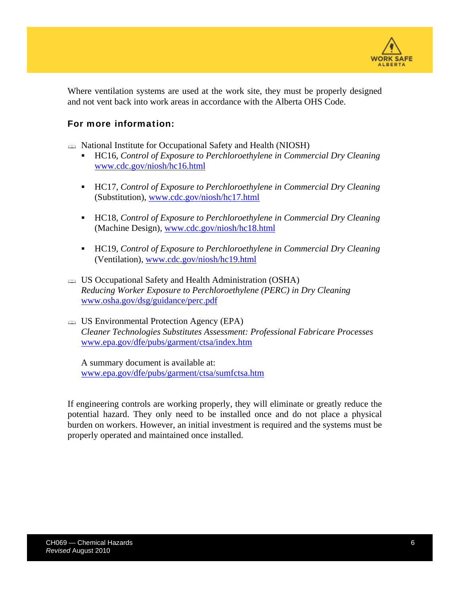

Where ventilation systems are used at the work site, they must be properly designed and not vent back into work areas in accordance with the Alberta OHS Code.

### For more information:

National Institute for Occupational Safety and Health (NIOSH)

- HC16, *Control of Exposure to Perchloroethylene in Commercial Dry Cleaning* www.cdc.gov/niosh/hc16.html
- HC17, *Control of Exposure to Perchloroethylene in Commercial Dry Cleaning*  (Substitution), www.cdc.gov/niosh/hc17.html
- HC18, *Control of Exposure to Perchloroethylene in Commercial Dry Cleaning*  (Machine Design), www.cdc.gov/niosh/hc18.html
- HC19, *Control of Exposure to Perchloroethylene in Commercial Dry Cleaning*  (Ventilation), www.cdc.gov/niosh/hc19.html
- US Occupational Safety and Health Administration (OSHA) *Reducing Worker Exposure to Perchloroethylene (PERC) in Dry Cleaning*  www.osha.gov/dsg/guidance/perc.pdf
- US Environmental Protection Agency (EPA) *Cleaner Technologies Substitutes Assessment: Professional Fabricare Processes*  www.epa.gov/dfe/pubs/garment/ctsa/index.htm

A summary document is available at: www.epa.gov/dfe/pubs/garment/ctsa/sumfctsa.htm

If engineering controls are working properly, they will eliminate or greatly reduce the potential hazard. They only need to be installed once and do not place a physical burden on workers. However, an initial investment is required and the systems must be properly operated and maintained once installed.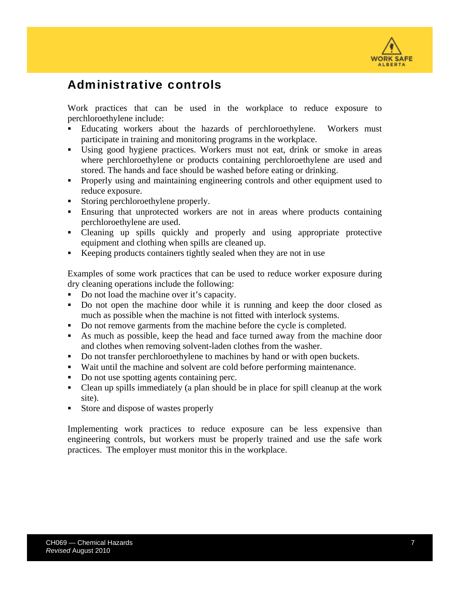

### Administrative controls

Work practices that can be used in the workplace to reduce exposure to perchloroethylene include:

- Educating workers about the hazards of perchloroethylene. Workers must participate in training and monitoring programs in the workplace.
- Using good hygiene practices. Workers must not eat, drink or smoke in areas where perchloroethylene or products containing perchloroethylene are used and stored. The hands and face should be washed before eating or drinking.
- Properly using and maintaining engineering controls and other equipment used to reduce exposure.
- Storing perchloroethylene properly.
- Ensuring that unprotected workers are not in areas where products containing perchloroethylene are used.
- Cleaning up spills quickly and properly and using appropriate protective equipment and clothing when spills are cleaned up.
- Keeping products containers tightly sealed when they are not in use

Examples of some work practices that can be used to reduce worker exposure during dry cleaning operations include the following:

- Do not load the machine over it's capacity.
- Do not open the machine door while it is running and keep the door closed as much as possible when the machine is not fitted with interlock systems.
- Do not remove garments from the machine before the cycle is completed.
- As much as possible, keep the head and face turned away from the machine door and clothes when removing solvent-laden clothes from the washer.
- Do not transfer perchloroethylene to machines by hand or with open buckets.
- Wait until the machine and solvent are cold before performing maintenance.
- Do not use spotting agents containing perc.
- Clean up spills immediately (a plan should be in place for spill cleanup at the work site).
- Store and dispose of wastes properly

Implementing work practices to reduce exposure can be less expensive than engineering controls, but workers must be properly trained and use the safe work practices. The employer must monitor this in the workplace.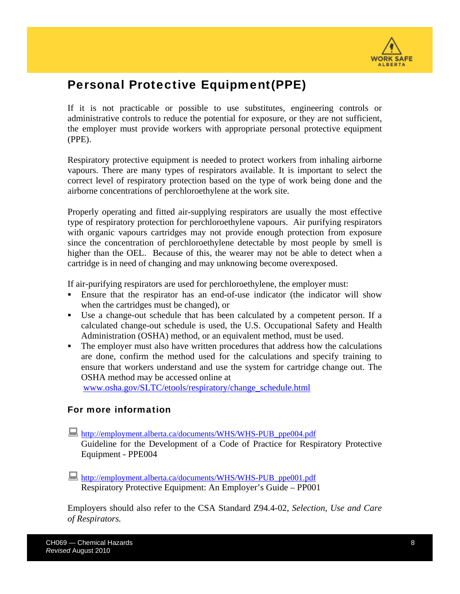

### Personal Protective Equipment(PPE)

If it is not practicable or possible to use substitutes, engineering controls or administrative controls to reduce the potential for exposure, or they are not sufficient, the employer must provide workers with appropriate personal protective equipment (PPE).

Respiratory protective equipment is needed to protect workers from inhaling airborne vapours. There are many types of respirators available. It is important to select the correct level of respiratory protection based on the type of work being done and the airborne concentrations of perchloroethylene at the work site.

Properly operating and fitted air-supplying respirators are usually the most effective type of respiratory protection for perchloroethylene vapours. Air purifying respirators with organic vapours cartridges may not provide enough protection from exposure since the concentration of perchloroethylene detectable by most people by smell is higher than the OEL. Because of this, the wearer may not be able to detect when a cartridge is in need of changing and may unknowing become overexposed.

If air-purifying respirators are used for perchloroethylene, the employer must:

- Ensure that the respirator has an end-of-use indicator (the indicator will show when the cartridges must be changed), or
- Use a change-out schedule that has been calculated by a competent person. If a calculated change-out schedule is used, the U.S. Occupational Safety and Health Administration (OSHA) method, or an equivalent method, must be used.
- The employer must also have written procedures that address how the calculations are done, confirm the method used for the calculations and specify training to ensure that workers understand and use the system for cartridge change out. The OSHA method may be accessed online at

www.osha.gov/SLTC/etools/respiratory/change\_schedule.html

#### For more information

- http://employment.alberta.ca/documents/WHS/WHS-PUB\_ppe004.pdf Guideline for the Development of a Code of Practice for Respiratory Protective Equipment - PPE004
- http://employment.alberta.ca/documents/WHS/WHS-PUB\_ppe001.pdf Respiratory Protective Equipment: An Employer's Guide – PP001

Employers should also refer to the CSA Standard Z94.4-02, *Selection, Use and Care of Respirators.*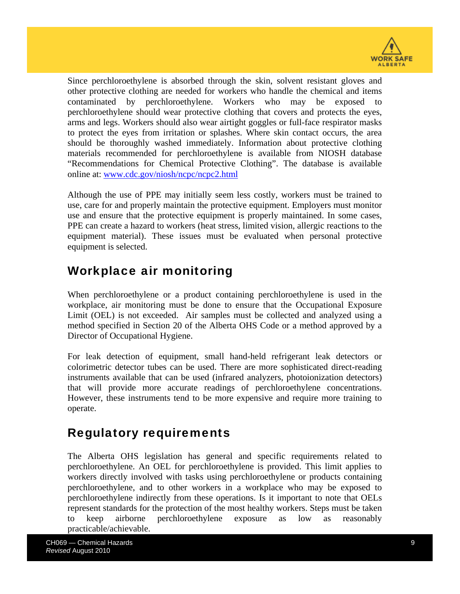

Since perchloroethylene is absorbed through the skin, solvent resistant gloves and other protective clothing are needed for workers who handle the chemical and items contaminated by perchloroethylene. Workers who may be exposed to perchloroethylene should wear protective clothing that covers and protects the eyes, arms and legs. Workers should also wear airtight goggles or full-face respirator masks to protect the eyes from irritation or splashes. Where skin contact occurs, the area should be thoroughly washed immediately. Information about protective clothing materials recommended for perchloroethylene is available from NIOSH database "Recommendations for Chemical Protective Clothing". The database is available online at: www.cdc.gov/niosh/ncpc/ncpc2.html

Although the use of PPE may initially seem less costly, workers must be trained to use, care for and properly maintain the protective equipment. Employers must monitor use and ensure that the protective equipment is properly maintained. In some cases, PPE can create a hazard to workers (heat stress, limited vision, allergic reactions to the equipment material). These issues must be evaluated when personal protective equipment is selected.

### Workplace air monitoring

When perchloroethylene or a product containing perchloroethylene is used in the workplace, air monitoring must be done to ensure that the Occupational Exposure Limit (OEL) is not exceeded. Air samples must be collected and analyzed using a method specified in Section 20 of the Alberta OHS Code or a method approved by a Director of Occupational Hygiene.

For leak detection of equipment, small hand-held refrigerant leak detectors or colorimetric detector tubes can be used. There are more sophisticated direct-reading instruments available that can be used (infrared analyzers, photoionization detectors) that will provide more accurate readings of perchloroethylene concentrations. However, these instruments tend to be more expensive and require more training to operate.

### Regulatory requirements

The Alberta OHS legislation has general and specific requirements related to perchloroethylene. An OEL for perchloroethylene is provided. This limit applies to workers directly involved with tasks using perchloroethylene or products containing perchloroethylene, and to other workers in a workplace who may be exposed to perchloroethylene indirectly from these operations. Is it important to note that OELs represent standards for the protection of the most healthy workers. Steps must be taken to keep airborne perchloroethylene exposure as low as reasonably practicable/achievable.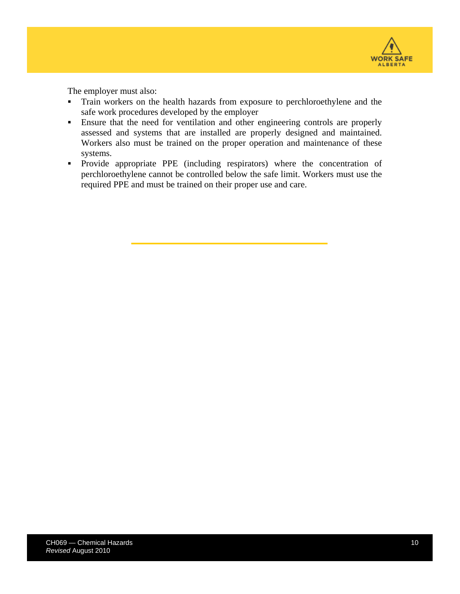

The employer must also:

- Train workers on the health hazards from exposure to perchloroethylene and the safe work procedures developed by the employer
- Ensure that the need for ventilation and other engineering controls are properly assessed and systems that are installed are properly designed and maintained. Workers also must be trained on the proper operation and maintenance of these systems.
- Provide appropriate PPE (including respirators) where the concentration of perchloroethylene cannot be controlled below the safe limit. Workers must use the required PPE and must be trained on their proper use and care.